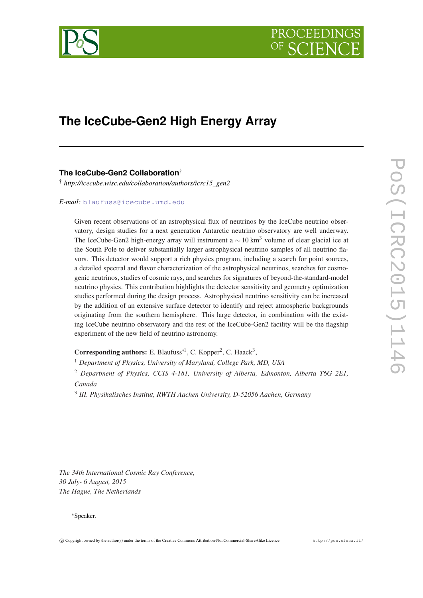

# **The IceCube-Gen2 High Energy Array**

# **The IceCube-Gen2 Collaboration**†

† *http://icecube.wisc.edu/collaboration/authors/icrc15\_gen2*

*E-mail:* [blaufuss@icecube.umd.edu](mailto:blaufuss@icecube.umd.edu)

Given recent observations of an astrophysical flux of neutrinos by the IceCube neutrino observatory, design studies for a next generation Antarctic neutrino observatory are well underway. The IceCube-Gen2 high-energy array will instrument a  $\sim$  10 km<sup>3</sup> volume of clear glacial ice at the South Pole to deliver substantially larger astrophysical neutrino samples of all neutrino flavors. This detector would support a rich physics program, including a search for point sources, a detailed spectral and flavor characterization of the astrophysical neutrinos, searches for cosmogenic neutrinos, studies of cosmic rays, and searches for signatures of beyond-the-standard-model neutrino physics. This contribution highlights the detector sensitivity and geometry optimization studies performed during the design process. Astrophysical neutrino sensitivity can be increased by the addition of an extensive surface detector to identify and reject atmospheric backgrounds originating from the southern hemisphere. This large detector, in combination with the existing IceCube neutrino observatory and the rest of the IceCube-Gen2 facility will be the flagship experiment of the new field of neutrino astronomy.

Corresponding authors: E. Blaufuss<sup>\*1</sup>, C. Kopper<sup>2</sup>, C. Haack<sup>3</sup>,

<sup>1</sup> *Department of Physics, University of Maryland, College Park, MD, USA*

<sup>2</sup> *Department of Physics, CCIS 4-181, University of Alberta, Edmonton, Alberta T6G 2E1, Canada*

3 *III. Physikalisches Institut, RWTH Aachen University, D-52056 Aachen, Germany*

*The 34th International Cosmic Ray Conference, 30 July- 6 August, 2015 The Hague, The Netherlands*

#### <sup>∗</sup>Speaker.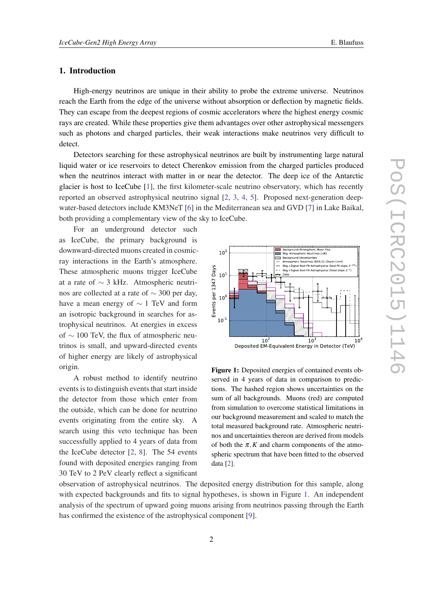## 1. Introduction

High-energy neutrinos are unique in their ability to probe the extreme universe. Neutrinos reach the Earth from the edge of the universe without absorption or deflection by magnetic fields. They can escape from the deepest regions of cosmic accelerators where the highest energy cosmic rays are created. While these properties give them advantages over other astrophysical messengers such as photons and charged particles, their weak interactions make neutrinos very difficult to detect.

Detectors searching for these astrophysical neutrinos are built by instrumenting large natural liquid water or ice reservoirs to detect Cherenkov emission from the charged particles produced when the neutrinos interact with matter in or near the detector. The deep ice of the Antarctic glacier is host to IceCube [[1](#page-6-0)], the first kilometer-scale neutrino observatory, which has recently reported an observed astrophysical neutrino signal [\[2,](#page-6-0) [3,](#page-6-0) [4,](#page-6-0) [5\]](#page-6-0). Proposed next-generation deepwater-based detectors include KM3NeT [[6](#page-6-0)] in the Mediterranean sea and GVD [[7](#page-6-0)] in Lake Baikal, both providing a complementary view of the sky to IceCube.

For an underground detector such as IceCube, the primary background is downward-directed muons created in cosmicray interactions in the Earth's atmosphere. These atmospheric muons trigger IceCube at a rate of ∼ 3 kHz. Atmospheric neutrinos are collected at a rate of ∼ 300 per day, have a mean energy of ∼ 1 TeV and form an isotropic background in searches for astrophysical neutrinos. At energies in excess of ∼ 100 TeV, the flux of atmospheric neutrinos is small, and upward-directed events of higher energy are likely of astrophysical origin.

A robust method to identify neutrino events is to distinguish events that start inside the detector from those which enter from the outside, which can be done for neutrino events originating from the entire sky. A search using this veto technique has been successfully applied to 4 years of data from the IceCube detector [[2](#page-6-0), [8](#page-6-0)]. The 54 events found with deposited energies ranging from 30 TeV to 2 PeV clearly reflect a significant



Figure 1: Deposited energies of contained events observed in 4 years of data in comparison to predictions. The hashed region shows uncertainties on the sum of all backgrounds. Muons (red) are computed from simulation to overcome statistical limitations in our background measurement and scaled to match the total measured background rate. Atmospheric neutrinos and uncertainties thereon are derived from models of both the  $\pi$ , K and charm components of the atmospheric spectrum that have been fitted to the observed data [\[2](#page-6-0)].

observation of astrophysical neutrinos. The deposited energy distribution for this sample, along with expected backgrounds and fits to signal hypotheses, is shown in Figure 1. An independent analysis of the spectrum of upward going muons arising from neutrinos passing through the Earth has confirmed the existence of the astrophysical component [[9](#page-6-0)].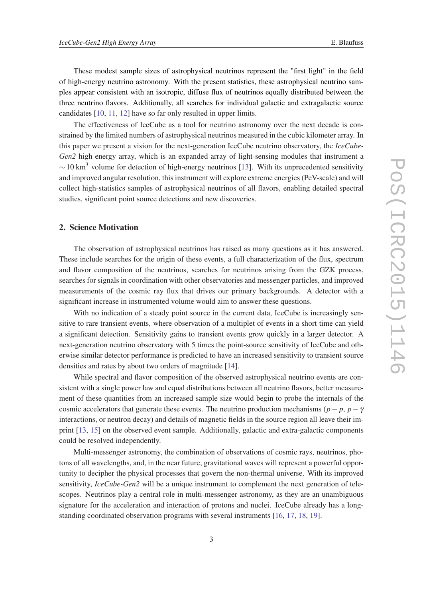These modest sample sizes of astrophysical neutrinos represent the "first light" in the field of high-energy neutrino astronomy. With the present statistics, these astrophysical neutrino samples appear consistent with an isotropic, diffuse flux of neutrinos equally distributed between the three neutrino flavors. Additionally, all searches for individual galactic and extragalactic source candidates [[10,](#page-6-0) [11](#page-6-0), [12](#page-6-0)] have so far only resulted in upper limits.

The effectiveness of IceCube as a tool for neutrino astronomy over the next decade is constrained by the limited numbers of astrophysical neutrinos measured in the cubic kilometer array. In this paper we present a vision for the next-generation IceCube neutrino observatory, the *IceCube-Gen2* high energy array, which is an expanded array of light-sensing modules that instrument a  $\sim$  10 km<sup>3</sup> volume for detection of high-energy neutrinos [[13](#page-6-0)]. With its unprecedented sensitivity and improved angular resolution, this instrument will explore extreme energies (PeV-scale) and will collect high-statistics samples of astrophysical neutrinos of all flavors, enabling detailed spectral studies, significant point source detections and new discoveries.

#### 2. Science Motivation

The observation of astrophysical neutrinos has raised as many questions as it has answered. These include searches for the origin of these events, a full characterization of the flux, spectrum and flavor composition of the neutrinos, searches for neutrinos arising from the GZK process, searches for signals in coordination with other observatories and messenger particles, and improved measurements of the cosmic ray flux that drives our primary backgrounds. A detector with a significant increase in instrumented volume would aim to answer these questions.

With no indication of a steady point source in the current data, IceCube is increasingly sensitive to rare transient events, where observation of a multiplet of events in a short time can yield a significant detection. Sensitivity gains to transient events grow quickly in a larger detector. A next-generation neutrino observatory with 5 times the point-source sensitivity of IceCube and otherwise similar detector performance is predicted to have an increased sensitivity to transient source densities and rates by about two orders of magnitude [[14\]](#page-7-0).

While spectral and flavor composition of the observed astrophysical neutrino events are consistent with a single power law and equal distributions between all neutrino flavors, better measurement of these quantities from an increased sample size would begin to probe the internals of the cosmic accelerators that generate these events. The neutrino production mechanisms ( $p - p$ ,  $p - \gamma$ interactions, or neutron decay) and details of magnetic fields in the source region all leave their imprint [[13](#page-6-0), [15](#page-7-0)] on the observed event sample. Additionally, galactic and extra-galactic components could be resolved independently.

Multi-messenger astronomy, the combination of observations of cosmic rays, neutrinos, photons of all wavelengths, and, in the near future, gravitational waves will represent a powerful opportunity to decipher the physical processes that govern the non-thermal universe. With its improved sensitivity, *IceCube-Gen2* will be a unique instrument to complement the next generation of telescopes. Neutrinos play a central role in multi-messenger astronomy, as they are an unambiguous signature for the acceleration and interaction of protons and nuclei. IceCube already has a longstanding coordinated observation programs with several instruments [\[16](#page-7-0), [17](#page-7-0), [18,](#page-7-0) [19](#page-7-0)].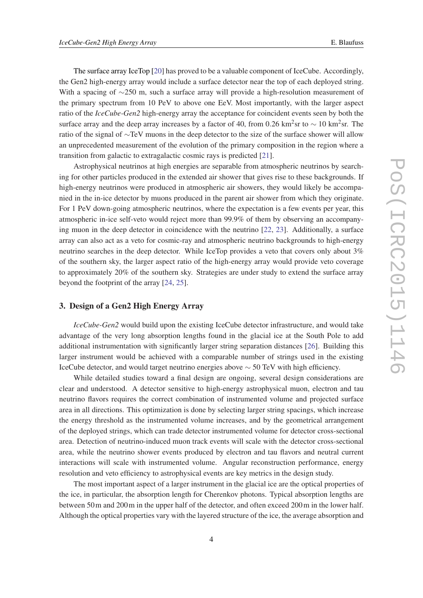The surface array IceTop [[20\]](#page-7-0) has proved to be a valuable component of IceCube. Accordingly, the Gen2 high-energy array would include a surface detector near the top of each deployed string. With a spacing of ∼250 m, such a surface array will provide a high-resolution measurement of the primary spectrum from 10 PeV to above one EeV. Most importantly, with the larger aspect ratio of the *IceCube-Gen2* high-energy array the acceptance for coincident events seen by both the surface array and the deep array increases by a factor of 40, from 0.26 km<sup>2</sup>sr to  $\sim 10$  km<sup>2</sup>sr. The ratio of the signal of ∼TeV muons in the deep detector to the size of the surface shower will allow an unprecedented measurement of the evolution of the primary composition in the region where a transition from galactic to extragalactic cosmic rays is predicted [[21\]](#page-7-0).

Astrophysical neutrinos at high energies are separable from atmospheric neutrinos by searching for other particles produced in the extended air shower that gives rise to these backgrounds. If high-energy neutrinos were produced in atmospheric air showers, they would likely be accompanied in the in-ice detector by muons produced in the parent air shower from which they originate. For 1 PeV down-going atmospheric neutrinos, where the expectation is a few events per year, this atmospheric in-ice self-veto would reject more than 99.9% of them by observing an accompanying muon in the deep detector in coincidence with the neutrino [\[22](#page-7-0), [23](#page-7-0)]. Additionally, a surface array can also act as a veto for cosmic-ray and atmospheric neutrino backgrounds to high-energy neutrino searches in the deep detector. While IceTop provides a veto that covers only about 3% of the southern sky, the larger aspect ratio of the high-energy array would provide veto coverage to approximately 20% of the southern sky. Strategies are under study to extend the surface array beyond the footprint of the array [[24,](#page-7-0) [25\]](#page-7-0).

### 3. Design of a Gen2 High Energy Array

*IceCube-Gen2* would build upon the existing IceCube detector infrastructure, and would take advantage of the very long absorption lengths found in the glacial ice at the South Pole to add additional instrumentation with significantly larger string separation distances [[26\]](#page-7-0). Building this larger instrument would be achieved with a comparable number of strings used in the existing IceCube detector, and would target neutrino energies above ∼ 50 TeV with high efficiency.

While detailed studies toward a final design are ongoing, several design considerations are clear and understood. A detector sensitive to high-energy astrophysical muon, electron and tau neutrino flavors requires the correct combination of instrumented volume and projected surface area in all directions. This optimization is done by selecting larger string spacings, which increase the energy threshold as the instrumented volume increases, and by the geometrical arrangement of the deployed strings, which can trade detector instrumented volume for detector cross-sectional area. Detection of neutrino-induced muon track events will scale with the detector cross-sectional area, while the neutrino shower events produced by electron and tau flavors and neutral current interactions will scale with instrumented volume. Angular reconstruction performance, energy resolution and veto efficiency to astrophysical events are key metrics in the design study.

The most important aspect of a larger instrument in the glacial ice are the optical properties of the ice, in particular, the absorption length for Cherenkov photons. Typical absorption lengths are between 50m and 200m in the upper half of the detector, and often exceed 200m in the lower half. Although the optical properties vary with the layered structure of the ice, the average absorption and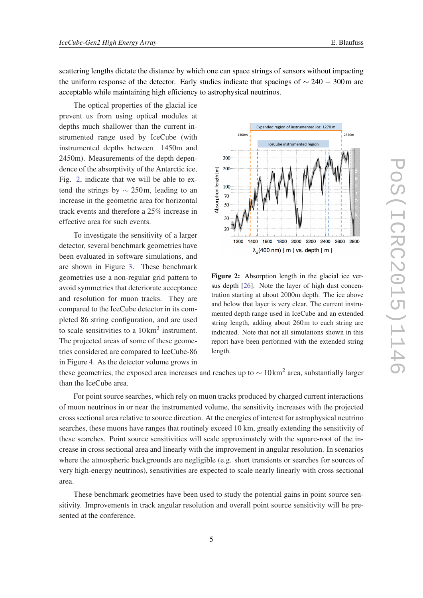scattering lengths dictate the distance by which one can space strings of sensors without impacting the uniform response of the detector. Early studies indicate that spacings of  $\sim$  240 − 300m are

The optical properties of the glacial ice prevent us from using optical modules at depths much shallower than the current instrumented range used by IceCube (with instrumented depths between 1450m and 2450m). Measurements of the depth dependence of the absorptivity of the Antarctic ice, Fig. 2, indicate that we will be able to extend the strings by  $\sim$  250m, leading to an increase in the geometric area for horizontal track events and therefore a 25% increase in effective area for such events.

acceptable while maintaining high efficiency to astrophysical neutrinos.

To investigate the sensitivity of a larger detector, several benchmark geometries have been evaluated in software simulations, and are shown in Figure [3](#page-5-0). These benchmark geometries use a non-regular grid pattern to avoid symmetries that deteriorate acceptance and resolution for muon tracks. They are compared to the IceCube detector in its completed 86 string configuration, and are used to scale sensitivities to a  $10 \text{ km}^3$  instrument. The projected areas of some of these geometries considered are compared to IceCube-86 in Figure [4.](#page-5-0) As the detector volume grows in



Figure 2: Absorption length in the glacial ice versus depth [[26\]](#page-7-0). Note the layer of high dust concentration starting at about 2000m depth. The ice above and below that layer is very clear. The current instrumented depth range used in IceCube and an extended string length, adding about 260m to each string are indicated. Note that not all simulations shown in this report have been performed with the extended string length.

these geometries, the exposed area increases and reaches up to  $\sim 10 \text{ km}^2$  area, substantially larger than the IceCube area.

For point source searches, which rely on muon tracks produced by charged current interactions of muon neutrinos in or near the instrumented volume, the sensitivity increases with the projected cross sectional area relative to source direction. At the energies of interest for astrophysical neutrino searches, these muons have ranges that routinely exceed 10 km, greatly extending the sensitivity of these searches. Point source sensitivities will scale approximately with the square-root of the increase in cross sectional area and linearly with the improvement in angular resolution. In scenarios where the atmospheric backgrounds are negligible (e.g. short transients or searches for sources of very high-energy neutrinos), sensitivities are expected to scale nearly linearly with cross sectional area.

These benchmark geometries have been used to study the potential gains in point source sensitivity. Improvements in track angular resolution and overall point source sensitivity will be presented at the conference.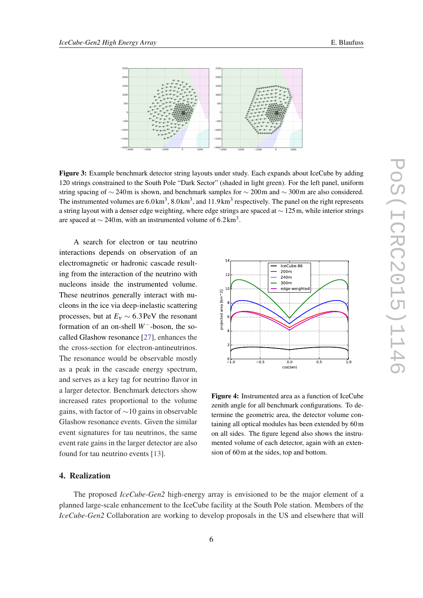<span id="page-5-0"></span>

Figure 3: Example benchmark detector string layouts under study. Each expands about IceCube by adding 120 strings constrained to the South Pole "Dark Sector" (shaded in light green). For the left panel, uniform string spacing of ∼ 240m is shown, and benchmark samples for ∼ 200m and ~ 300m are also considered. The instrumented volumes are  $6.0 \text{ km}^3$ ,  $8.0 \text{ km}^3$ , and  $11.9 \text{ km}^3$  respectively. The panel on the right represents a string layout with a denser edge weighting, where edge strings are spaced at ∼ 125m, while interior strings are spaced at  $\sim$  240m, with an instrumented volume of 6.2 km<sup>3</sup>.

A search for electron or tau neutrino interactions depends on observation of an electromagnetic or hadronic cascade resulting from the interaction of the neutrino with nucleons inside the instrumented volume. These neutrinos generally interact with nucleons in the ice via deep-inelastic scattering processes, but at  $E_v \sim 6.3 \text{ PeV}$  the resonant formation of an on-shell *W*−-boson, the socalled Glashow resonance [\[27](#page-7-0)], enhances the the cross-section for electron-antineutrinos. The resonance would be observable mostly as a peak in the cascade energy spectrum, and serves as a key tag for neutrino flavor in a larger detector. Benchmark detectors show increased rates proportional to the volume gains, with factor of ∼10 gains in observable Glashow resonance events. Given the similar event signatures for tau neutrinos, the same event rate gains in the larger detector are also found for tau neutrino events [[13\]](#page-6-0).

#### 4. Realization

The proposed *IceCube-Gen2* high-energy array is envisioned to be the major element of a planned large-scale enhancement to the IceCube facility at the South Pole station. Members of the *IceCube-Gen2* Collaboration are working to develop proposals in the US and elsewhere that will



Figure 4: Instrumented area as a function of IceCube zenith angle for all benchmark configurations. To determine the geometric area, the detector volume containing all optical modules has been extended by 60m on all sides. The figure legend also shows the instrumented volume of each detector, again with an exten-

sion of 60m at the sides, top and bottom.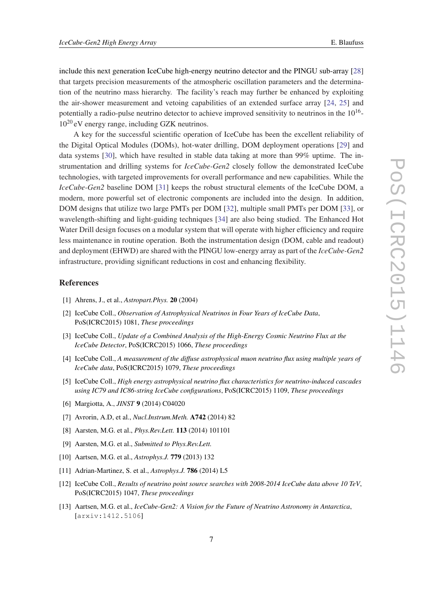<span id="page-6-0"></span>include this next generation IceCube high-energy neutrino detector and the PINGU sub-array [\[28](#page-7-0)] that targets precision measurements of the atmospheric oscillation parameters and the determination of the neutrino mass hierarchy. The facility's reach may further be enhanced by exploiting the air-shower measurement and vetoing capabilities of an extended surface array [[24,](#page-7-0) [25](#page-7-0)] and potentially a radio-pulse neutrino detector to achieve improved sensitivity to neutrinos in the 10<sup>16</sup>- $10^{20}$  eV energy range, including GZK neutrinos.

A key for the successful scientific operation of IceCube has been the excellent reliability of the Digital Optical Modules (DOMs), hot-water drilling, DOM deployment operations [[29\]](#page-7-0) and data systems [\[30](#page-7-0)], which have resulted in stable data taking at more than 99% uptime. The instrumentation and drilling systems for *IceCube-Gen2* closely follow the demonstrated IceCube technologies, with targeted improvements for overall performance and new capabilities. While the *IceCube-Gen2* baseline DOM [\[31\]](#page-7-0) keeps the robust structural elements of the IceCube DOM, a modern, more powerful set of electronic components are included into the design. In addition, DOM designs that utilize two large PMTs per DOM [\[32](#page-7-0)], multiple small PMTs per DOM [[33\]](#page-7-0), or wavelength-shifting and light-guiding techniques [\[34](#page-7-0)] are also being studied. The Enhanced Hot Water Drill design focuses on a modular system that will operate with higher efficiency and require less maintenance in routine operation. Both the instrumentation design (DOM, cable and readout) and deployment (EHWD) are shared with the PINGU low-energy array as part of the *IceCube-Gen2* infrastructure, providing significant reductions in cost and enhancing flexibility.

#### References

- [1] Ahrens, J., et al., *Astropart.Phys.* 20 (2004)
- [2] IceCube Coll., *Observation of Astrophysical Neutrinos in Four Years of IceCube Data*, PoS(ICRC2015) 1081, *These proceedings*
- [3] IceCube Coll., *Update of a Combined Analysis of the High-Energy Cosmic Neutrino Flux at the IceCube Detector*, PoS(ICRC2015) 1066, *These proceedings*
- [4] IceCube Coll., *A measurement of the diffuse astrophysical muon neutrino flux using multiple years of IceCube data*, PoS(ICRC2015) 1079, *These proceedings*
- [5] IceCube Coll., *High energy astrophysical neutrino flux characteristics for neutrino-induced cascades using IC79 and IC86-string IceCube configurations*, PoS(ICRC2015) 1109, *These proceedings*
- [6] Margiotta, A., *JINST* 9 (2014) C04020
- [7] Avrorin, A.D, et al., *Nucl.Instrum.Meth.* A742 (2014) 82
- [8] Aarsten, M.G. et al., *Phys.Rev.Lett.* 113 (2014) 101101
- [9] Aarsten, M.G. et al., *Submitted to Phys.Rev.Lett.*
- [10] Aartsen, M.G. et al., *Astrophys.J.* 779 (2013) 132
- [11] Adrian-Martinez, S. et al., *Astrophys.J.* 786 (2014) L5
- [12] IceCube Coll., *Results of neutrino point source searches with 2008-2014 IceCube data above 10 TeV*, PoS(ICRC2015) 1047, *These proceedings*
- [13] Aartsen, M.G. et al., *IceCube-Gen2: A Vision for the Future of Neutrino Astronomy in Antarctica*, [arxiv:1412.5106]